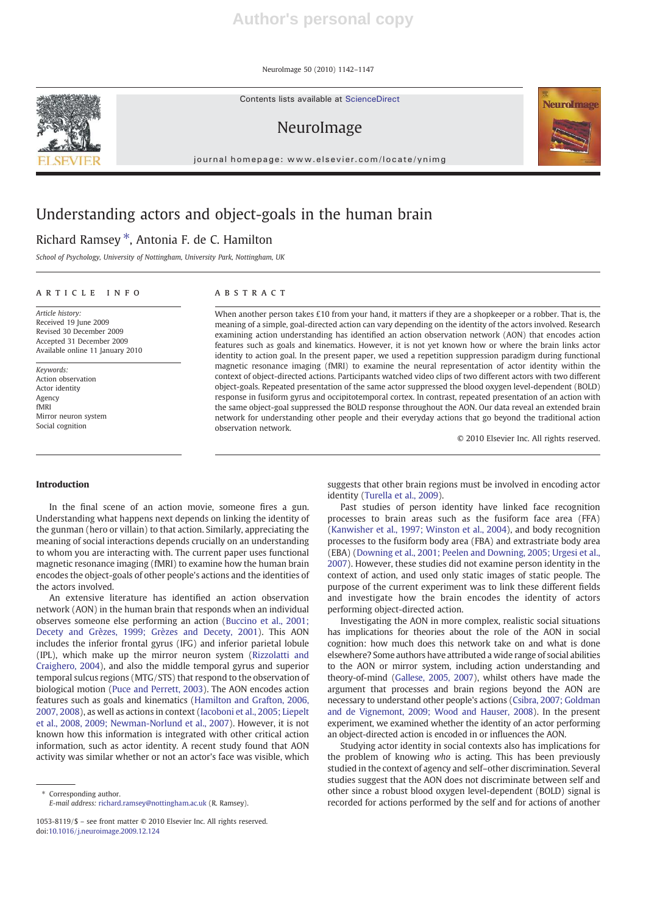NeuroImage 50 (2010) 1142–1147

Contents lists available at ScienceDirect

# NeuroImage

journal homepage: www.elsevier.com/locate/ynimg

# **NeuroImage**

# Understanding actors and object-goals in the human brain

## Richard Ramsey<sup>\*</sup>, Antonia F. de C. Hamilton

School of Psychology, University of Nottingham, University Park, Nottingham, UK

### article info abstract

Article history: Received 19 June 2009 Revised 30 December 2009 Accepted 31 December 2009 Available online 11 January 2010

Keywords: Action observation Actor identity Agency fMRI Mirror neuron system Social cognition

When another person takes £10 from your hand, it matters if they are a shopkeeper or a robber. That is, the meaning of a simple, goal-directed action can vary depending on the identity of the actors involved. Research examining action understanding has identified an action observation network (AON) that encodes action features such as goals and kinematics. However, it is not yet known how or where the brain links actor identity to action goal. In the present paper, we used a repetition suppression paradigm during functional magnetic resonance imaging (fMRI) to examine the neural representation of actor identity within the context of object-directed actions. Participants watched video clips of two different actors with two different object-goals. Repeated presentation of the same actor suppressed the blood oxygen level-dependent (BOLD) response in fusiform gyrus and occipitotemporal cortex. In contrast, repeated presentation of an action with the same object-goal suppressed the BOLD response throughout the AON. Our data reveal an extended brain network for understanding other people and their everyday actions that go beyond the traditional action observation network.

© 2010 Elsevier Inc. All rights reserved.

### Introduction

In the final scene of an action movie, someone fires a gun. Understanding what happens next depends on linking the identity of the gunman (hero or villain) to that action. Similarly, appreciating the meaning of social interactions depends crucially on an understanding to whom you are interacting with. The current paper uses functional magnetic resonance imaging (fMRI) to examine how the human brain encodes the object-goals of other people's actions and the identities of the actors involved.

An extensive literature has identified an action observation network (AON) in the human brain that responds when an individual observes someone else performing an action (Buccino et al., 2001; Decety and Grèzes, 1999; Grèzes and Decety, 2001). This AON includes the inferior frontal gyrus (IFG) and inferior parietal lobule (IPL), which make up the mirror neuron system (Rizzolatti and Craighero, 2004), and also the middle temporal gyrus and superior temporal sulcus regions (MTG/STS) that respond to the observation of biological motion (Puce and Perrett, 2003). The AON encodes action features such as goals and kinematics (Hamilton and Grafton, 2006, 2007, 2008), as well as actions in context (Iacoboni et al., 2005; Liepelt et al., 2008, 2009; Newman-Norlund et al., 2007). However, it is not known how this information is integrated with other critical action information, such as actor identity. A recent study found that AON activity was similar whether or not an actor's face was visible, which

⁎ Corresponding author. E-mail address: richard.ramsey@nottingham.ac.uk (R. Ramsey). suggests that other brain regions must be involved in encoding actor identity (Turella et al., 2009).

Past studies of person identity have linked face recognition processes to brain areas such as the fusiform face area (FFA) (Kanwisher et al., 1997; Winston et al., 2004), and body recognition processes to the fusiform body area (FBA) and extrastriate body area (EBA) (Downing et al., 2001; Peelen and Downing, 2005; Urgesi et al., 2007). However, these studies did not examine person identity in the context of action, and used only static images of static people. The purpose of the current experiment was to link these different fields and investigate how the brain encodes the identity of actors performing object-directed action.

Investigating the AON in more complex, realistic social situations has implications for theories about the role of the AON in social cognition: how much does this network take on and what is done elsewhere? Some authors have attributed a wide range of social abilities to the AON or mirror system, including action understanding and theory-of-mind (Gallese, 2005, 2007), whilst others have made the argument that processes and brain regions beyond the AON are necessary to understand other people's actions (Csibra, 2007; Goldman and de Vignemont, 2009; Wood and Hauser, 2008). In the present experiment, we examined whether the identity of an actor performing an object-directed action is encoded in or influences the AON.

Studying actor identity in social contexts also has implications for the problem of knowing who is acting. This has been previously studied in the context of agency and self–other discrimination. Several studies suggest that the AON does not discriminate between self and other since a robust blood oxygen level-dependent (BOLD) signal is recorded for actions performed by the self and for actions of another



<sup>1053-8119/\$</sup> – see front matter © 2010 Elsevier Inc. All rights reserved. doi:10.1016/j.neuroimage.2009.12.124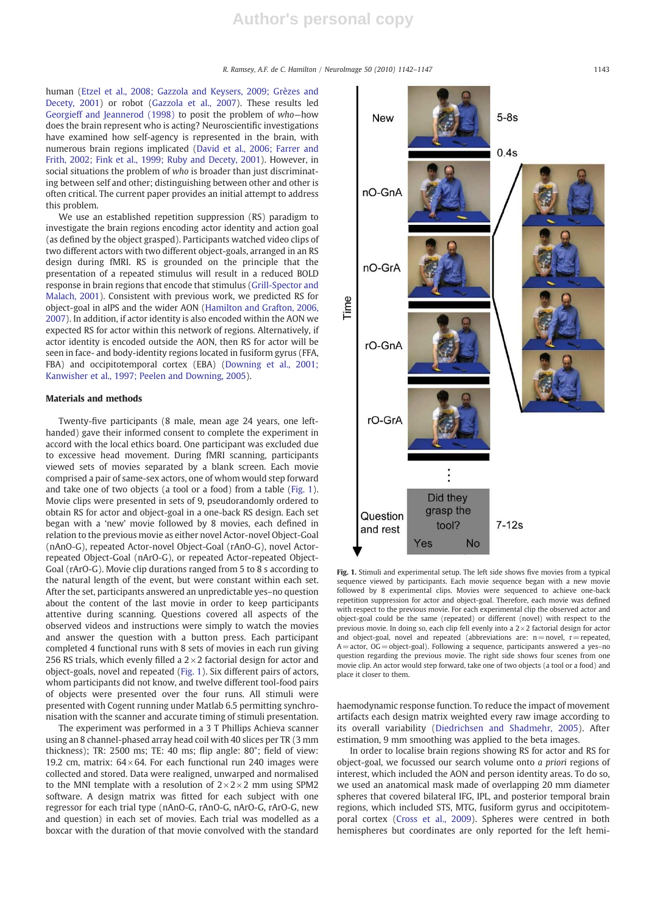R. Ramsey, A.F. de C. Hamilton / NeuroImage 50 (2010) 1142–1147 1143

human (Etzel et al., 2008; Gazzola and Keysers, 2009; Grèzes and Decety, 2001) or robot (Gazzola et al., 2007). These results led Georgieff and Jeannerod (1998) to posit the problem of who—how does the brain represent who is acting? Neuroscientific investigations have examined how self-agency is represented in the brain, with numerous brain regions implicated (David et al., 2006; Farrer and Frith, 2002; Fink et al., 1999; Ruby and Decety, 2001). However, in social situations the problem of who is broader than just discriminating between self and other; distinguishing between other and other is often critical. The current paper provides an initial attempt to address this problem.

We use an established repetition suppression (RS) paradigm to investigate the brain regions encoding actor identity and action goal (as defined by the object grasped). Participants watched video clips of two different actors with two different object-goals, arranged in an RS design during fMRI. RS is grounded on the principle that the presentation of a repeated stimulus will result in a reduced BOLD response in brain regions that encode that stimulus (Grill-Spector and Malach, 2001). Consistent with previous work, we predicted RS for object-goal in aIPS and the wider AON (Hamilton and Grafton, 2006, 2007). In addition, if actor identity is also encoded within the AON we expected RS for actor within this network of regions. Alternatively, if actor identity is encoded outside the AON, then RS for actor will be seen in face- and body-identity regions located in fusiform gyrus (FFA, FBA) and occipitotemporal cortex (EBA) (Downing et al., 2001; Kanwisher et al., 1997; Peelen and Downing, 2005).

#### Materials and methods

Twenty-five participants (8 male, mean age 24 years, one lefthanded) gave their informed consent to complete the experiment in accord with the local ethics board. One participant was excluded due to excessive head movement. During fMRI scanning, participants viewed sets of movies separated by a blank screen. Each movie comprised a pair of same-sex actors, one of whom would step forward and take one of two objects (a tool or a food) from a table (Fig. 1). Movie clips were presented in sets of 9, pseudorandomly ordered to obtain RS for actor and object-goal in a one-back RS design. Each set began with a 'new' movie followed by 8 movies, each defined in relation to the previous movie as either novel Actor-novel Object-Goal (nAnO-G), repeated Actor-novel Object-Goal (rAnO-G), novel Actorrepeated Object-Goal (nArO-G), or repeated Actor-repeated Object-Goal (rArO-G). Movie clip durations ranged from 5 to 8 s according to the natural length of the event, but were constant within each set. After the set, participants answered an unpredictable yes–no question about the content of the last movie in order to keep participants attentive during scanning. Questions covered all aspects of the observed videos and instructions were simply to watch the movies and answer the question with a button press. Each participant completed 4 functional runs with 8 sets of movies in each run giving 256 RS trials, which evenly filled a  $2 \times 2$  factorial design for actor and object-goals, novel and repeated (Fig. 1). Six different pairs of actors, whom participants did not know, and twelve different tool-food pairs of objects were presented over the four runs. All stimuli were presented with Cogent running under Matlab 6.5 permitting synchronisation with the scanner and accurate timing of stimuli presentation.

The experiment was performed in a 3 T Phillips Achieva scanner using an 8 channel-phased array head coil with 40 slices per TR (3 mm thickness); TR: 2500 ms; TE: 40 ms; flip angle: 80°; field of view: 19.2 cm, matrix:  $64 \times 64$ . For each functional run 240 images were collected and stored. Data were realigned, unwarped and normalised to the MNI template with a resolution of  $2 \times 2 \times 2$  mm using SPM2 software. A design matrix was fitted for each subject with one regressor for each trial type (nAnO-G, rAnO-G, nArO-G, rArO-G, new and question) in each set of movies. Each trial was modelled as a boxcar with the duration of that movie convolved with the standard



Fig. 1. Stimuli and experimental setup. The left side shows five movies from a typical sequence viewed by participants. Each movie sequence began with a new movie followed by 8 experimental clips. Movies were sequenced to achieve one-back repetition suppression for actor and object-goal. Therefore, each movie was defined with respect to the previous movie. For each experimental clip the observed actor and object-goal could be the same (repeated) or different (novel) with respect to the previous movie. In doing so, each clip fell evenly into a  $2 \times 2$  factorial design for actor and object-goal, novel and repeated (abbreviations are:  $n=$  novel,  $r=$  repeated,  $A=$  actor,  $OG=$  object-goal). Following a sequence, participants answered a yes–no question regarding the previous movie. The right side shows four scenes from one movie clip. An actor would step forward, take one of two objects (a tool or a food) and place it closer to them.

haemodynamic response function. To reduce the impact of movement artifacts each design matrix weighted every raw image according to its overall variability (Diedrichsen and Shadmehr, 2005). After estimation, 9 mm smoothing was applied to the beta images.

In order to localise brain regions showing RS for actor and RS for object-goal, we focussed our search volume onto a priori regions of interest, which included the AON and person identity areas. To do so, we used an anatomical mask made of overlapping 20 mm diameter spheres that covered bilateral IFG, IPL, and posterior temporal brain regions, which included STS, MTG, fusiform gyrus and occipitotemporal cortex (Cross et al., 2009). Spheres were centred in both hemispheres but coordinates are only reported for the left hemi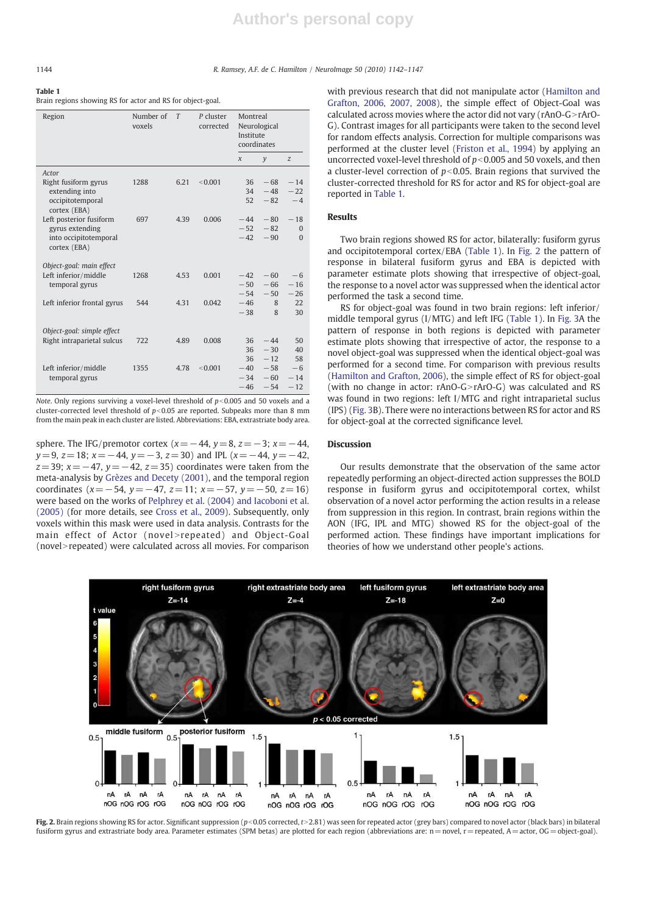1144 R. Ramsey, A.F. de C. Hamilton / NeuroImage 50 (2010) 1142–1147

#### Table 1

Brain regions showing RS for actor and RS for object-goal.

| Region                                 | Number of<br>voxels | T    | P cluster<br>corrected | Montreal<br>Neurological<br>Institute<br>coordinates |                |               |
|----------------------------------------|---------------------|------|------------------------|------------------------------------------------------|----------------|---------------|
|                                        |                     |      |                        | $\chi$                                               | y              | Z             |
| Actor                                  |                     |      |                        |                                                      |                |               |
| Right fusiform gyrus                   | 1288                | 6.21 | < 0.001                | 36                                                   | $-68$          | $-14$         |
| extending into                         |                     |      |                        | 34<br>52                                             | $-48$          | $-22$<br>$-4$ |
| occipitotemporal<br>cortex (EBA)       |                     |      |                        |                                                      | $-82$          |               |
| Left posterior fusiform                | 697                 | 4.39 | 0.006                  | $-44$                                                | $-80$          | $-18$         |
| gyrus extending                        |                     |      |                        | $-52$                                                | $-82$          | $\Omega$      |
| into occipitotemporal                  |                     |      |                        | $-42$                                                | $-90$          | $\Omega$      |
| cortex (EBA)                           |                     |      |                        |                                                      |                |               |
| Object-goal: main effect               |                     |      |                        |                                                      |                |               |
| Left inferior/middle                   | 1268                | 4.53 | 0.001                  | $-42$                                                | $-60$          | $-6$          |
| temporal gyrus                         |                     |      |                        | $-50$                                                | $-66$          | $-16$         |
|                                        |                     |      |                        | $-54$                                                | $-50$          | $-26$         |
| Left inferior frontal gyrus            | 544                 | 4.31 | 0.042                  | $-46$<br>$-38$                                       | 8<br>8         | 22<br>30      |
|                                        |                     |      |                        |                                                      |                |               |
| Object-goal: simple effect             |                     |      |                        |                                                      |                |               |
| Right intraparietal sulcus             | 722                 | 4.89 | 0.008                  | 36                                                   | $-44$          | 50            |
|                                        |                     |      |                        | 36                                                   | $-30$          | 40            |
|                                        |                     |      |                        | 36                                                   | $-12$          | 58            |
| Left inferior/middle<br>temporal gyrus | 1355                | 4.78 | < 0.001                | $-40$<br>$-34$                                       | $-58$<br>$-60$ | $-6$<br>$-14$ |
|                                        |                     |      |                        | $-46$                                                | $-54$          | $-12$         |
|                                        |                     |      |                        |                                                      |                |               |

Note. Only regions surviving a voxel-level threshold of  $p<0.005$  and 50 voxels and a cluster-corrected level threshold of  $p<0.05$  are reported. Subpeaks more than 8 mm from the main peak in each cluster are listed. Abbreviations: EBA, extrastriate body area.

sphere. The IFG/premotor cortex ( $x=-44$ ,  $y=8$ ,  $z=-3$ ;  $x=-44$ ,  $y=9$ ,  $z=18$ ;  $x=-44$ ,  $y=-3$ ,  $z=30$ ) and IPL ( $x=-44$ ,  $y=-42$ ,  $z= 39$ ;  $x=-47$ ,  $y=-42$ ,  $z= 35$ ) coordinates were taken from the meta-analysis by Grèzes and Decety (2001), and the temporal region coordinates ( $x=-54$ ,  $y=-47$ ,  $z=11$ ;  $x=-57$ ,  $y=-50$ ,  $z=16$ ) were based on the works of Pelphrey et al. (2004) and Iacoboni et al. (2005) (for more details, see Cross et al., 2009). Subsequently, only voxels within this mask were used in data analysis. Contrasts for the main effect of Actor (novel>repeated) and Object-Goal (novel>repeated) were calculated across all movies. For comparison with previous research that did not manipulate actor (Hamilton and Grafton, 2006, 2007, 2008), the simple effect of Object-Goal was calculated across movies where the actor did not vary ( $rAnO-G\geq rArO-$ G). Contrast images for all participants were taken to the second level for random effects analysis. Correction for multiple comparisons was performed at the cluster level (Friston et al., 1994) by applying an uncorrected voxel-level threshold of  $p<0.005$  and 50 voxels, and then a cluster-level correction of  $p<0.05$ . Brain regions that survived the cluster-corrected threshold for RS for actor and RS for object-goal are reported in Table 1.

#### Results

Two brain regions showed RS for actor, bilaterally: fusiform gyrus and occipitotemporal cortex/EBA (Table 1). In Fig. 2 the pattern of response in bilateral fusiform gyrus and EBA is depicted with parameter estimate plots showing that irrespective of object-goal, the response to a novel actor was suppressed when the identical actor performed the task a second time.

RS for object-goal was found in two brain regions: left inferior/ middle temporal gyrus (I/MTG) and left IFG (Table 1). In Fig. 3A the pattern of response in both regions is depicted with parameter estimate plots showing that irrespective of actor, the response to a novel object-goal was suppressed when the identical object-goal was performed for a second time. For comparison with previous results (Hamilton and Grafton, 2006), the simple effect of RS for object-goal (with no change in actor:  $rAnO-G > rArO-G$ ) was calculated and RS was found in two regions: left I/MTG and right intraparietal suclus (IPS) (Fig. 3B). There were no interactions between RS for actor and RS for object-goal at the corrected significance level.

#### Discussion

Our results demonstrate that the observation of the same actor repeatedly performing an object-directed action suppresses the BOLD response in fusiform gyrus and occipitotemporal cortex, whilst observation of a novel actor performing the action results in a release from suppression in this region. In contrast, brain regions within the AON (IFG, IPL and MTG) showed RS for the object-goal of the performed action. These findings have important implications for theories of how we understand other people's actions.



Fig. 2. Brain regions showing RS for actor. Significant suppression ( $p<0.05$  corrected,  $t>2.81$ ) was seen for repeated actor (grey bars) compared to novel actor (black bars) in bilateral fusiform gyrus and extrastriate body area. Parameter estimates (SPM betas) are plotted for each region (abbreviations are: n = novel, r = repeated, A = actor, OG = object-goal).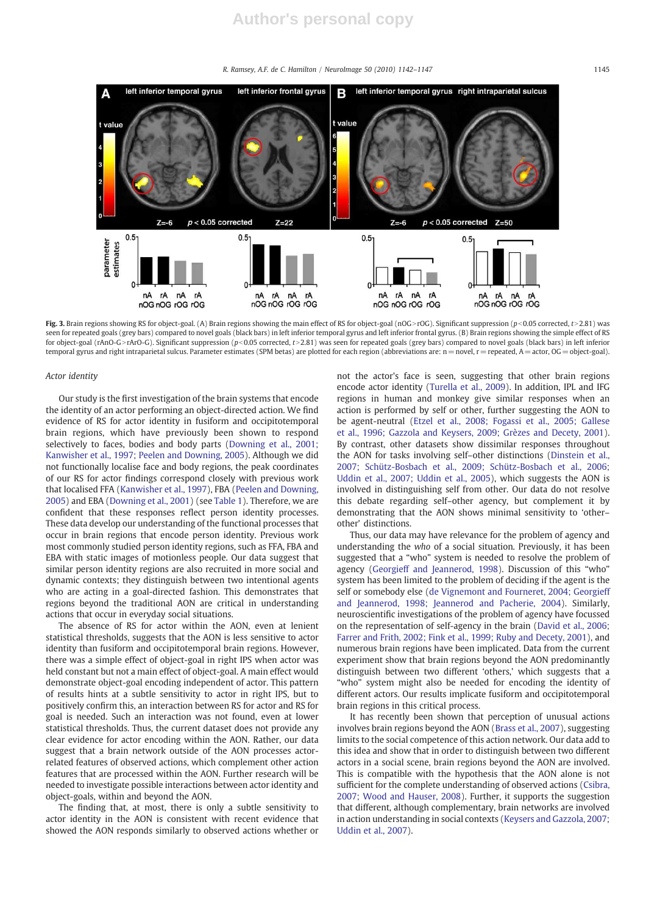R. Ramsey, A.F. de C. Hamilton / NeuroImage 50 (2010) 1142–1147 1145



Fig. 3. Brain regions showing RS for object-goal. (A) Brain regions showing the main effect of RS for object-goal (nOG>rOG). Significant suppression (p<0.05 corrected, t>2.81) was seen for repeated goals (grey bars) compared to novel goals (black bars) in left inferior temporal gyrus and left inferior frontal gyrus. (B) Brain regions showing the simple effect of RS for object-goal (rAnO-G>rArO-G). Significant suppression (p<0.05 corrected, t>2.81) was seen for repeated goals (grey bars) compared to novel goals (black bars) in left inferior temporal gyrus and right intraparietal sulcus. Parameter estimates (SPM betas) are plotted for each region (abbreviations are: n = novel, r = repeated, A = actor, OG = object-goal).

#### Actor identity

Our study is the first investigation of the brain systems that encode the identity of an actor performing an object-directed action. We find evidence of RS for actor identity in fusiform and occipitotemporal brain regions, which have previously been shown to respond selectively to faces, bodies and body parts (Downing et al., 2001; Kanwisher et al., 1997; Peelen and Downing, 2005). Although we did not functionally localise face and body regions, the peak coordinates of our RS for actor findings correspond closely with previous work that localised FFA (Kanwisher et al., 1997), FBA (Peelen and Downing, 2005) and EBA (Downing et al., 2001) (see Table 1). Therefore, we are confident that these responses reflect person identity processes. These data develop our understanding of the functional processes that occur in brain regions that encode person identity. Previous work most commonly studied person identity regions, such as FFA, FBA and EBA with static images of motionless people. Our data suggest that similar person identity regions are also recruited in more social and dynamic contexts; they distinguish between two intentional agents who are acting in a goal-directed fashion. This demonstrates that regions beyond the traditional AON are critical in understanding actions that occur in everyday social situations.

The absence of RS for actor within the AON, even at lenient statistical thresholds, suggests that the AON is less sensitive to actor identity than fusiform and occipitotemporal brain regions. However, there was a simple effect of object-goal in right IPS when actor was held constant but not a main effect of object-goal. A main effect would demonstrate object-goal encoding independent of actor. This pattern of results hints at a subtle sensitivity to actor in right IPS, but to positively confirm this, an interaction between RS for actor and RS for goal is needed. Such an interaction was not found, even at lower statistical thresholds. Thus, the current dataset does not provide any clear evidence for actor encoding within the AON. Rather, our data suggest that a brain network outside of the AON processes actorrelated features of observed actions, which complement other action features that are processed within the AON. Further research will be needed to investigate possible interactions between actor identity and object-goals, within and beyond the AON.

The finding that, at most, there is only a subtle sensitivity to actor identity in the AON is consistent with recent evidence that showed the AON responds similarly to observed actions whether or not the actor's face is seen, suggesting that other brain regions encode actor identity (Turella et al., 2009). In addition, IPL and IFG regions in human and monkey give similar responses when an action is performed by self or other, further suggesting the AON to be agent-neutral (Etzel et al., 2008; Fogassi et al., 2005; Gallese et al., 1996; Gazzola and Keysers, 2009; Grèzes and Decety, 2001). By contrast, other datasets show dissimilar responses throughout the AON for tasks involving self–other distinctions (Dinstein et al., 2007; Schütz-Bosbach et al., 2009; Schütz-Bosbach et al., 2006; Uddin et al., 2007; Uddin et al., 2005), which suggests the AON is involved in distinguishing self from other. Our data do not resolve this debate regarding self–other agency, but complement it by demonstrating that the AON shows minimal sensitivity to 'other– other' distinctions.

Thus, our data may have relevance for the problem of agency and understanding the who of a social situation. Previously, it has been suggested that a "who" system is needed to resolve the problem of agency (Georgieff and Jeannerod, 1998). Discussion of this "who" system has been limited to the problem of deciding if the agent is the self or somebody else (de Vignemont and Fourneret, 2004; Georgieff and Jeannerod, 1998; Jeannerod and Pacherie, 2004). Similarly, neuroscientific investigations of the problem of agency have focussed on the representation of self-agency in the brain (David et al., 2006; Farrer and Frith, 2002; Fink et al., 1999; Ruby and Decety, 2001), and numerous brain regions have been implicated. Data from the current experiment show that brain regions beyond the AON predominantly distinguish between two different 'others,' which suggests that a "who" system might also be needed for encoding the identity of different actors. Our results implicate fusiform and occipitotemporal brain regions in this critical process.

It has recently been shown that perception of unusual actions involves brain regions beyond the AON (Brass et al., 2007), suggesting limits to the social competence of this action network. Our data add to this idea and show that in order to distinguish between two different actors in a social scene, brain regions beyond the AON are involved. This is compatible with the hypothesis that the AON alone is not sufficient for the complete understanding of observed actions (Csibra, 2007; Wood and Hauser, 2008). Further, it supports the suggestion that different, although complementary, brain networks are involved in action understanding in social contexts (Keysers and Gazzola, 2007; Uddin et al., 2007).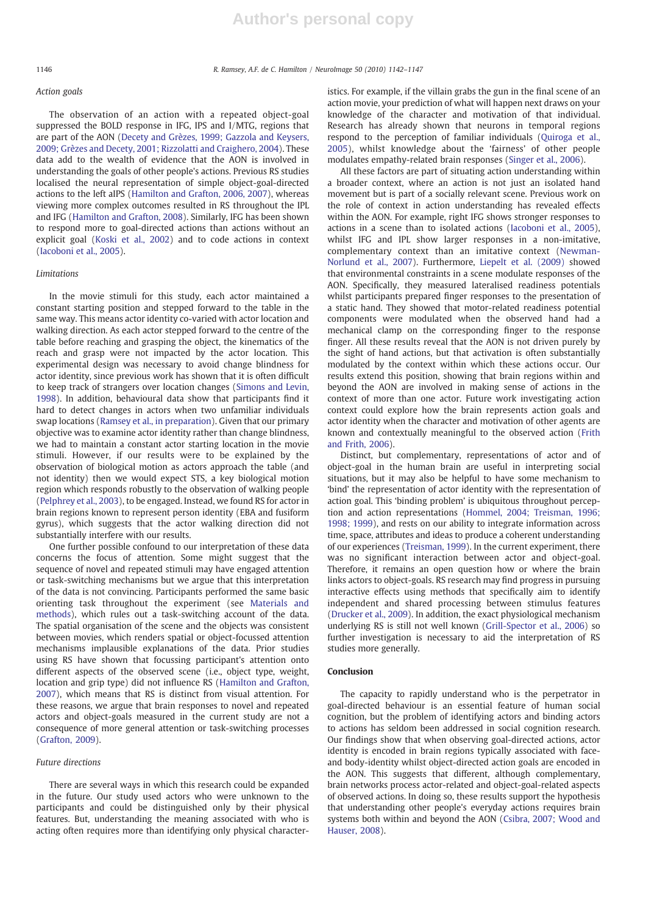#### 1146 R. Ramsey, A.F. de C. Hamilton / NeuroImage 50 (2010) 1142–1147

#### Action goals

The observation of an action with a repeated object-goal suppressed the BOLD response in IFG, IPS and I/MTG, regions that are part of the AON (Decety and Grèzes, 1999; Gazzola and Keysers, 2009; Grèzes and Decety, 2001; Rizzolatti and Craighero, 2004). These data add to the wealth of evidence that the AON is involved in understanding the goals of other people's actions. Previous RS studies localised the neural representation of simple object-goal-directed actions to the left aIPS (Hamilton and Grafton, 2006, 2007), whereas viewing more complex outcomes resulted in RS throughout the IPL and IFG (Hamilton and Grafton, 2008). Similarly, IFG has been shown to respond more to goal-directed actions than actions without an explicit goal (Koski et al., 2002) and to code actions in context (Iacoboni et al., 2005).

#### Limitations

In the movie stimuli for this study, each actor maintained a constant starting position and stepped forward to the table in the same way. This means actor identity co-varied with actor location and walking direction. As each actor stepped forward to the centre of the table before reaching and grasping the object, the kinematics of the reach and grasp were not impacted by the actor location. This experimental design was necessary to avoid change blindness for actor identity, since previous work has shown that it is often difficult to keep track of strangers over location changes (Simons and Levin, 1998). In addition, behavioural data show that participants find it hard to detect changes in actors when two unfamiliar individuals swap locations (Ramsey et al., in preparation). Given that our primary objective was to examine actor identity rather than change blindness, we had to maintain a constant actor starting location in the movie stimuli. However, if our results were to be explained by the observation of biological motion as actors approach the table (and not identity) then we would expect STS, a key biological motion region which responds robustly to the observation of walking people (Pelphrey et al., 2003), to be engaged. Instead, we found RS for actor in brain regions known to represent person identity (EBA and fusiform gyrus), which suggests that the actor walking direction did not substantially interfere with our results.

One further possible confound to our interpretation of these data concerns the focus of attention. Some might suggest that the sequence of novel and repeated stimuli may have engaged attention or task-switching mechanisms but we argue that this interpretation of the data is not convincing. Participants performed the same basic orienting task throughout the experiment (see Materials and methods), which rules out a task-switching account of the data. The spatial organisation of the scene and the objects was consistent between movies, which renders spatial or object-focussed attention mechanisms implausible explanations of the data. Prior studies using RS have shown that focussing participant's attention onto different aspects of the observed scene (i.e., object type, weight, location and grip type) did not influence RS (Hamilton and Grafton, 2007), which means that RS is distinct from visual attention. For these reasons, we argue that brain responses to novel and repeated actors and object-goals measured in the current study are not a consequence of more general attention or task-switching processes (Grafton, 2009).

#### Future directions

There are several ways in which this research could be expanded in the future. Our study used actors who were unknown to the participants and could be distinguished only by their physical features. But, understanding the meaning associated with who is acting often requires more than identifying only physical characteristics. For example, if the villain grabs the gun in the final scene of an action movie, your prediction of what will happen next draws on your knowledge of the character and motivation of that individual. Research has already shown that neurons in temporal regions respond to the perception of familiar individuals (Quiroga et al., 2005), whilst knowledge about the 'fairness' of other people modulates empathy-related brain responses (Singer et al., 2006).

All these factors are part of situating action understanding within a broader context, where an action is not just an isolated hand movement but is part of a socially relevant scene. Previous work on the role of context in action understanding has revealed effects within the AON. For example, right IFG shows stronger responses to actions in a scene than to isolated actions (Iacoboni et al., 2005), whilst IFG and IPL show larger responses in a non-imitative, complementary context than an imitative context (Newman-Norlund et al., 2007). Furthermore, Liepelt et al. (2009) showed that environmental constraints in a scene modulate responses of the AON. Specifically, they measured lateralised readiness potentials whilst participants prepared finger responses to the presentation of a static hand. They showed that motor-related readiness potential components were modulated when the observed hand had a mechanical clamp on the corresponding finger to the response finger. All these results reveal that the AON is not driven purely by the sight of hand actions, but that activation is often substantially modulated by the context within which these actions occur. Our results extend this position, showing that brain regions within and beyond the AON are involved in making sense of actions in the context of more than one actor. Future work investigating action context could explore how the brain represents action goals and actor identity when the character and motivation of other agents are known and contextually meaningful to the observed action (Frith and Frith, 2006).

Distinct, but complementary, representations of actor and of object-goal in the human brain are useful in interpreting social situations, but it may also be helpful to have some mechanism to 'bind' the representation of actor identity with the representation of action goal. This 'binding problem' is ubiquitous throughout perception and action representations (Hommel, 2004; Treisman, 1996; 1998; 1999), and rests on our ability to integrate information across time, space, attributes and ideas to produce a coherent understanding of our experiences (Treisman, 1999). In the current experiment, there was no significant interaction between actor and object-goal. Therefore, it remains an open question how or where the brain links actors to object-goals. RS research may find progress in pursuing interactive effects using methods that specifically aim to identify independent and shared processing between stimulus features (Drucker et al., 2009). In addition, the exact physiological mechanism underlying RS is still not well known (Grill-Spector et al., 2006) so further investigation is necessary to aid the interpretation of RS studies more generally.

#### Conclusion

The capacity to rapidly understand who is the perpetrator in goal-directed behaviour is an essential feature of human social cognition, but the problem of identifying actors and binding actors to actions has seldom been addressed in social cognition research. Our findings show that when observing goal-directed actions, actor identity is encoded in brain regions typically associated with faceand body-identity whilst object-directed action goals are encoded in the AON. This suggests that different, although complementary, brain networks process actor-related and object-goal-related aspects of observed actions. In doing so, these results support the hypothesis that understanding other people's everyday actions requires brain systems both within and beyond the AON (Csibra, 2007; Wood and Hauser, 2008).